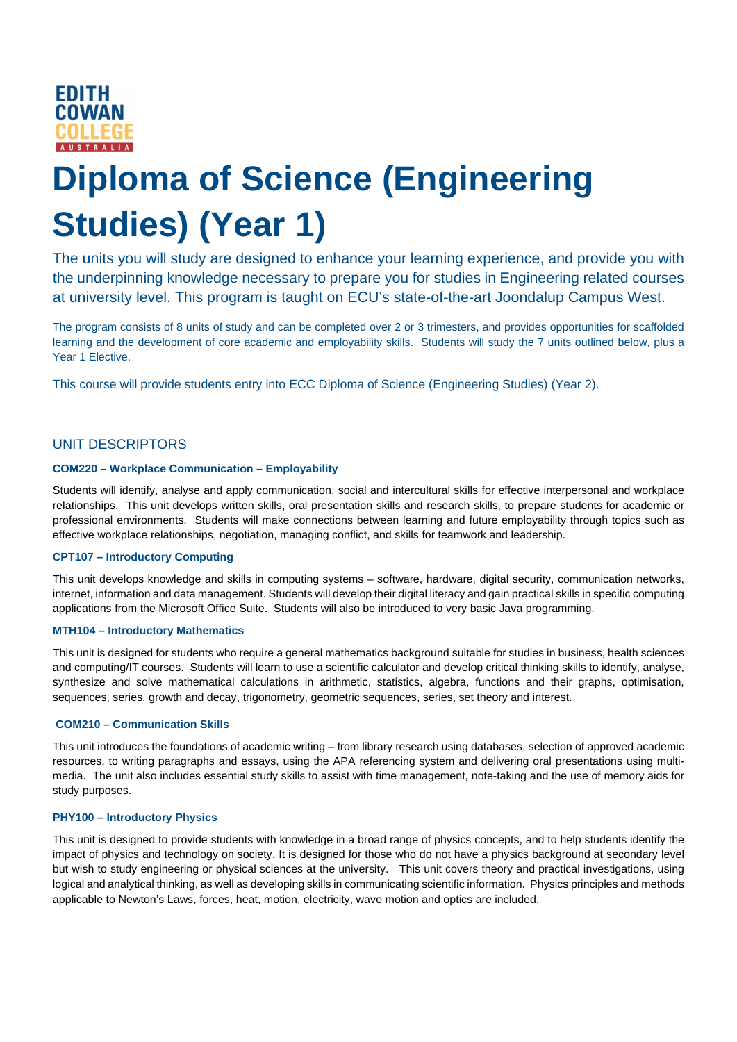

# **Diploma of Science (Engineering Studies) (Year 1)**

The units you will study are designed to enhance your learning experience, and provide you with the underpinning knowledge necessary to prepare you for studies in Engineering related courses at university level. This program is taught on ECU's state-of-the-art Joondalup Campus West.

The program consists of 8 units of study and can be completed over 2 or 3 trimesters, and provides opportunities for scaffolded learning and the development of core academic and employability skills. Students will study the 7 units outlined below, plus a Year 1 Elective.

This course will provide students entry into ECC Diploma of Science (Engineering Studies) (Year 2).

# UNIT DESCRIPTORS

#### **COM220 – Workplace Communication – Employability**

Students will identify, analyse and apply communication, social and intercultural skills for effective interpersonal and workplace relationships. This unit develops written skills, oral presentation skills and research skills, to prepare students for academic or professional environments. Students will make connections between learning and future employability through topics such as effective workplace relationships, negotiation, managing conflict, and skills for teamwork and leadership.

#### **CPT107 – Introductory Computing**

This unit develops knowledge and skills in computing systems – software, hardware, digital security, communication networks, internet, information and data management. Students will develop their digital literacy and gain practical skills in specific computing applications from the Microsoft Office Suite. Students will also be introduced to very basic Java programming.

#### **MTH104 – Introductory Mathematics**

This unit is designed for students who require a general mathematics background suitable for studies in business, health sciences and computing/IT courses. Students will learn to use a scientific calculator and develop critical thinking skills to identify, analyse, synthesize and solve mathematical calculations in arithmetic, statistics, algebra, functions and their graphs, optimisation, sequences, series, growth and decay, trigonometry, geometric sequences, series, set theory and interest.

#### **COM210 – Communication Skills**

This unit introduces the foundations of academic writing – from library research using databases, selection of approved academic resources, to writing paragraphs and essays, using the APA referencing system and delivering oral presentations using multimedia. The unit also includes essential study skills to assist with time management, note-taking and the use of memory aids for study purposes.

#### **PHY100 – Introductory Physics**

This unit is designed to provide students with knowledge in a broad range of physics concepts, and to help students identify the impact of physics and technology on society. It is designed for those who do not have a physics background at secondary level but wish to study engineering or physical sciences at the university. This unit covers theory and practical investigations, using logical and analytical thinking, as well as developing skills in communicating scientific information. Physics principles and methods applicable to Newton's Laws, forces, heat, motion, electricity, wave motion and optics are included.